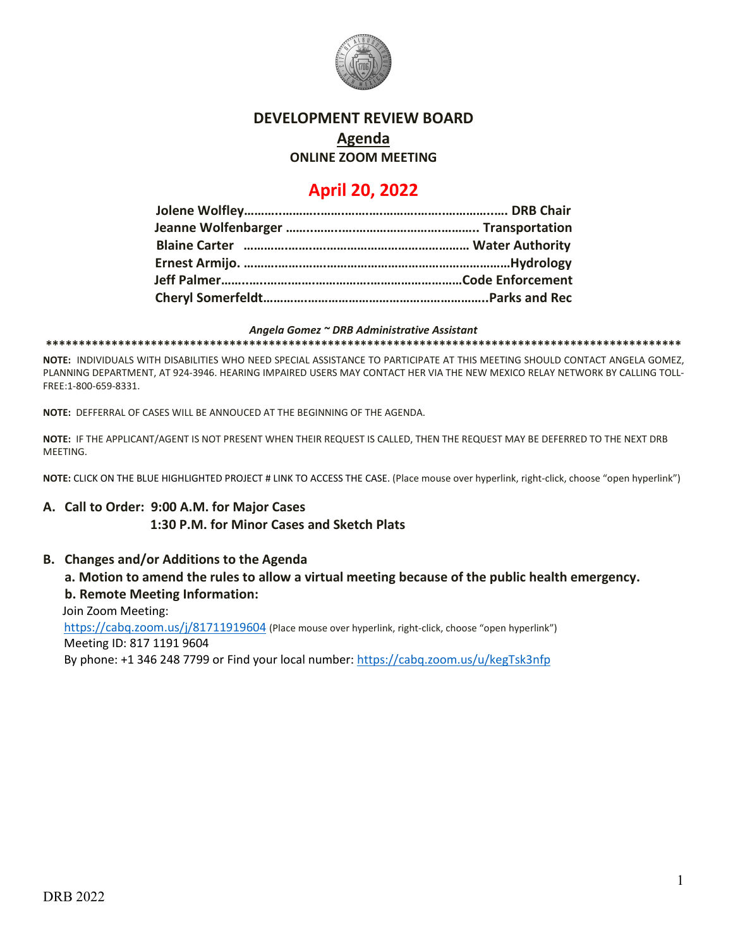

# **DEVELOPMENT REVIEW BOARD**

### **Agenda**

**ONLINE ZOOM MEETING**

## **April 20, 2022**

#### *Angela Gomez ~ DRB Administrative Assistant*

**\*\*\*\*\*\*\*\*\*\*\*\*\*\*\*\*\*\*\*\*\*\*\*\*\*\*\*\*\*\*\*\*\*\*\*\*\*\*\*\*\*\*\*\*\*\*\*\*\*\*\*\*\*\*\*\*\*\*\*\*\*\*\*\*\*\*\*\*\*\*\*\*\*\*\*\*\*\*\*\*\*\*\*\*\*\*\*\*\*\*\*\*\*\*\*\*\***

**NOTE:** INDIVIDUALS WITH DISABILITIES WHO NEED SPECIAL ASSISTANCE TO PARTICIPATE AT THIS MEETING SHOULD CONTACT ANGELA GOMEZ, PLANNING DEPARTMENT, AT 924-3946. HEARING IMPAIRED USERS MAY CONTACT HER VIA THE NEW MEXICO RELAY NETWORK BY CALLING TOLL-FREE:1-800-659-8331.

**NOTE:** DEFFERRAL OF CASES WILL BE ANNOUCED AT THE BEGINNING OF THE AGENDA.

**NOTE:** IF THE APPLICANT/AGENT IS NOT PRESENT WHEN THEIR REQUEST IS CALLED, THEN THE REQUEST MAY BE DEFERRED TO THE NEXT DRB MEETING.

**NOTE:** CLICK ON THE BLUE HIGHLIGHTED PROJECT # LINK TO ACCESS THE CASE. (Place mouse over hyperlink, right-click, choose "open hyperlink")

#### **A. Call to Order: 9:00 A.M. for Major Cases 1:30 P.M. for Minor Cases and Sketch Plats**

#### **B. Changes and/or Additions to the Agenda**

#### **a. Motion to amend the rules to allow a virtual meeting because of the public health emergency. b. Remote Meeting Information:**

 Join Zoom Meeting: <https://cabq.zoom.us/j/81711919604> (Place mouse over hyperlink, right-click, choose "open hyperlink") Meeting ID: 817 1191 9604

By phone: +1 346 248 7799 or Find your local number:<https://cabq.zoom.us/u/kegTsk3nfp>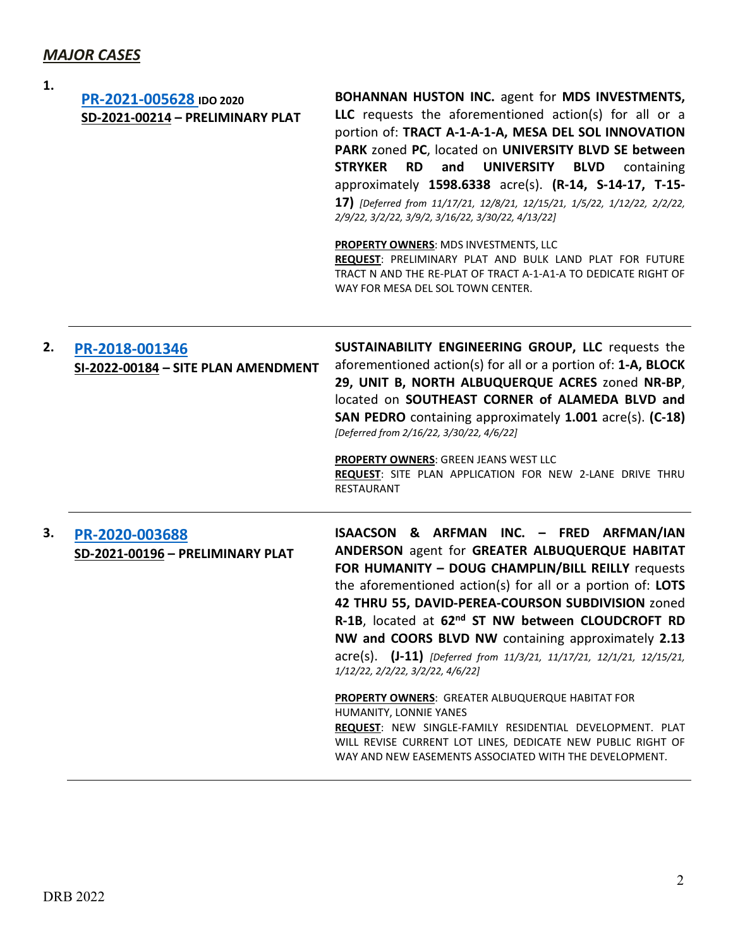### *MAJOR CASES*

| 1. | PR-2021-005628 IDO 2020<br>SD-2021-00214 - PRELIMINARY PLAT | <b>BOHANNAN HUSTON INC.</b> agent for MDS INVESTMENTS,<br>LLC requests the aforementioned action(s) for all or a<br>portion of: TRACT A-1-A-1-A, MESA DEL SOL INNOVATION<br>PARK zoned PC, located on UNIVERSITY BLVD SE between<br><b>RD</b><br>and<br><b>UNIVERSITY</b><br><b>STRYKER</b><br><b>BLVD</b><br>containing<br>approximately 1598.6338 acre(s). (R-14, S-14-17, T-15-<br>17) [Deferred from 11/17/21, 12/8/21, 12/15/21, 1/5/22, 1/12/22, 2/2/22,<br>2/9/22, 3/2/22, 3/9/2, 3/16/22, 3/30/22, 4/13/22]<br><b>PROPERTY OWNERS: MDS INVESTMENTS, LLC</b><br>REQUEST: PRELIMINARY PLAT AND BULK LAND PLAT FOR FUTURE<br>TRACT N AND THE RE-PLAT OF TRACT A-1-A1-A TO DEDICATE RIGHT OF<br>WAY FOR MESA DEL SOL TOWN CENTER.                                           |
|----|-------------------------------------------------------------|---------------------------------------------------------------------------------------------------------------------------------------------------------------------------------------------------------------------------------------------------------------------------------------------------------------------------------------------------------------------------------------------------------------------------------------------------------------------------------------------------------------------------------------------------------------------------------------------------------------------------------------------------------------------------------------------------------------------------------------------------------------------------------|
| 2. | PR-2018-001346<br>SI-2022-00184 - SITE PLAN AMENDMENT       | SUSTAINABILITY ENGINEERING GROUP, LLC requests the<br>aforementioned action(s) for all or a portion of: 1-A, BLOCK<br>29, UNIT B, NORTH ALBUQUERQUE ACRES zoned NR-BP,<br>located on SOUTHEAST CORNER of ALAMEDA BLVD and<br>SAN PEDRO containing approximately 1.001 acre(s). (C-18)<br>[Deferred from 2/16/22, 3/30/22, 4/6/22]<br><b>PROPERTY OWNERS: GREEN JEANS WEST LLC</b><br>REQUEST: SITE PLAN APPLICATION FOR NEW 2-LANE DRIVE THRU<br>RESTAURANT                                                                                                                                                                                                                                                                                                                     |
| З. | PR-2020-003688<br>SD-2021-00196 - PRELIMINARY PLAT          | ISAACSON & ARFMAN INC. - FRED ARFMAN/IAN<br>ANDERSON agent for GREATER ALBUQUERQUE HABITAT<br>FOR HUMANITY - DOUG CHAMPLIN/BILL REILLY requests<br>the aforementioned action(s) for all or a portion of: LOTS<br>42 THRU 55, DAVID-PEREA-COURSON SUBDIVISION zoned<br>R-1B, located at 62 <sup>nd</sup> ST NW between CLOUDCROFT RD<br>NW and COORS BLVD NW containing approximately 2.13<br>acre(s). (J-11) [Deferred from 11/3/21, 11/17/21, 12/1/21, 12/15/21,<br>1/12/22, 2/2/22, 3/2/22, 4/6/22]<br><b>PROPERTY OWNERS:</b> GREATER ALBUQUERQUE HABITAT FOR<br>HUMANITY, LONNIE YANES<br>REQUEST: NEW SINGLE-FAMILY RESIDENTIAL DEVELOPMENT. PLAT<br>WILL REVISE CURRENT LOT LINES, DEDICATE NEW PUBLIC RIGHT OF<br>WAY AND NEW EASEMENTS ASSOCIATED WITH THE DEVELOPMENT. |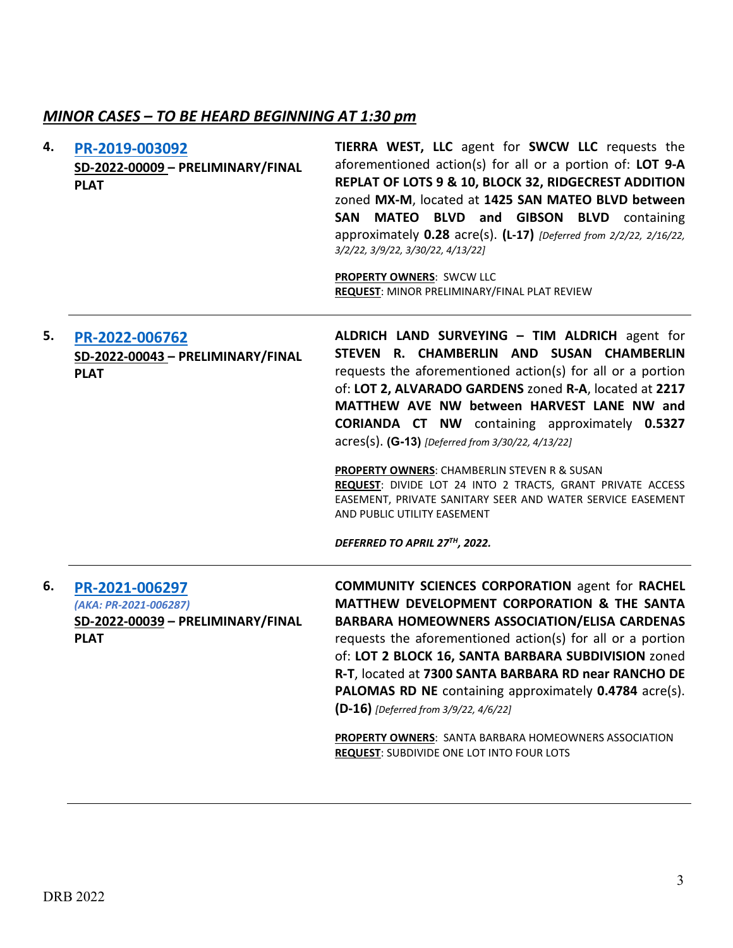### *MINOR CASES – TO BE HEARD BEGINNING AT 1:30 pm*

| 4. | PR-2019-003092<br>SD-2022-00009 - PRELIMINARY/FINAL<br><b>PLAT</b>                          | TIERRA WEST, LLC agent for SWCW LLC requests the<br>aforementioned action(s) for all or a portion of: LOT 9-A<br>REPLAT OF LOTS 9 & 10, BLOCK 32, RIDGECREST ADDITION<br>zoned MX-M, located at 1425 SAN MATEO BLVD between<br>SAN MATEO BLVD and GIBSON BLVD containing<br>approximately 0.28 acre(s). (L-17) [Deferred from 2/2/22, 2/16/22,<br>3/2/22, 3/9/22, 3/30/22, 4/13/22]<br><b>PROPERTY OWNERS: SWCW LLC</b><br>REQUEST: MINOR PRELIMINARY/FINAL PLAT REVIEW                                                                                                                                                     |
|----|---------------------------------------------------------------------------------------------|-----------------------------------------------------------------------------------------------------------------------------------------------------------------------------------------------------------------------------------------------------------------------------------------------------------------------------------------------------------------------------------------------------------------------------------------------------------------------------------------------------------------------------------------------------------------------------------------------------------------------------|
| 5. | PR-2022-006762<br>SD-2022-00043 - PRELIMINARY/FINAL<br><b>PLAT</b>                          | ALDRICH LAND SURVEYING - TIM ALDRICH agent for<br>STEVEN R. CHAMBERLIN AND SUSAN CHAMBERLIN<br>requests the aforementioned action(s) for all or a portion<br>of: LOT 2, ALVARADO GARDENS zoned R-A, located at 2217<br>MATTHEW AVE NW between HARVEST LANE NW and<br><b>CORIANDA CT NW</b> containing approximately 0.5327<br>acres(s). (G-13) [Deferred from 3/30/22, 4/13/22]<br>PROPERTY OWNERS: CHAMBERLIN STEVEN R & SUSAN<br>REQUEST: DIVIDE LOT 24 INTO 2 TRACTS, GRANT PRIVATE ACCESS<br>EASEMENT, PRIVATE SANITARY SEER AND WATER SERVICE EASEMENT<br>AND PUBLIC UTILITY EASEMENT<br>DEFERRED TO APRIL 27TH, 2022. |
| 6. | PR-2021-006297<br>(AKA: PR-2021-006287)<br>SD-2022-00039 - PRELIMINARY/FINAL<br><b>PLAT</b> | <b>COMMUNITY SCIENCES CORPORATION agent for RACHEL</b><br>MATTHEW DEVELOPMENT CORPORATION & THE SANTA<br><b>BARBARA HOMEOWNERS ASSOCIATION/ELISA CARDENAS</b><br>requests the aforementioned action(s) for all or a portion<br>of: LOT 2 BLOCK 16, SANTA BARBARA SUBDIVISION zoned<br>R-T, located at 7300 SANTA BARBARA RD near RANCHO DE<br>PALOMAS RD NE containing approximately 0.4784 acre(s).<br>(D-16) [Deferred from 3/9/22, 4/6/22]<br><b>PROPERTY OWNERS:</b> SANTA BARBARA HOMEOWNERS ASSOCIATION<br><b>REQUEST: SUBDIVIDE ONE LOT INTO FOUR LOTS</b>                                                           |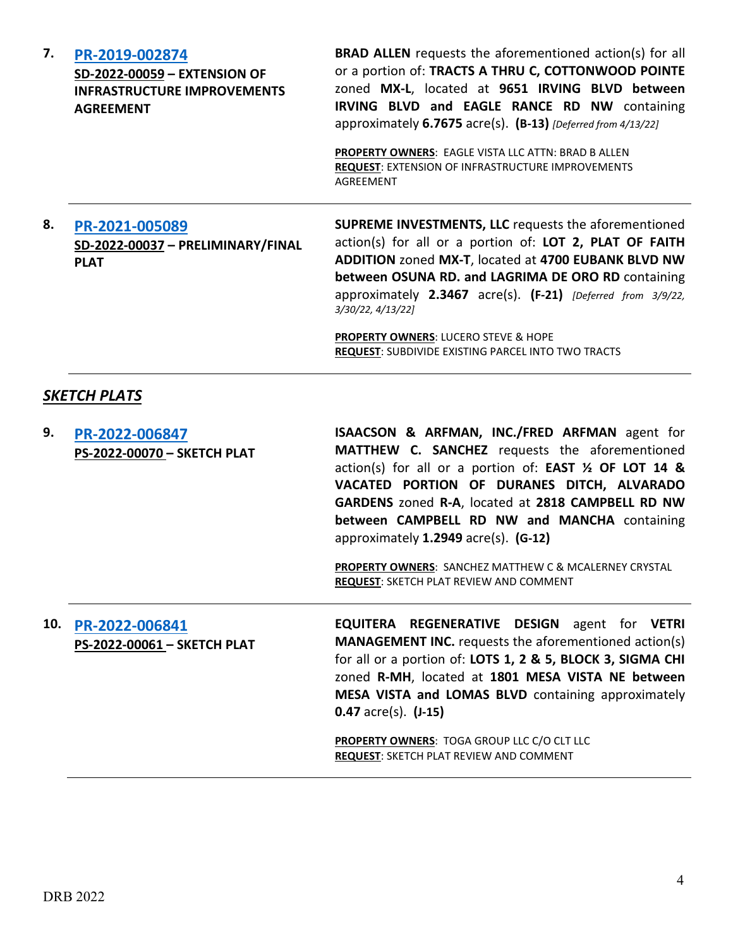| 7. | PR-2019-002874<br>SD-2022-00059 - EXTENSION OF<br><b>INFRASTRUCTURE IMPROVEMENTS</b><br><b>AGREEMENT</b> | <b>BRAD ALLEN</b> requests the aforementioned action(s) for all<br>or a portion of: TRACTS A THRU C, COTTONWOOD POINTE<br>zoned MX-L, located at 9651 IRVING BLVD between<br><b>IRVING BLVD and EAGLE RANCE RD NW containing</b><br>approximately $6.7675$ acre(s). $(B-13)$ [Deferred from 4/13/22]<br><b>PROPERTY OWNERS: EAGLE VISTA LLC ATTN: BRAD B ALLEN</b><br><b>REQUEST: EXTENSION OF INFRASTRUCTURE IMPROVEMENTS</b><br>AGREEMENT |
|----|----------------------------------------------------------------------------------------------------------|---------------------------------------------------------------------------------------------------------------------------------------------------------------------------------------------------------------------------------------------------------------------------------------------------------------------------------------------------------------------------------------------------------------------------------------------|
| 8. | PR-2021-005089<br>SD-2022-00037 - PRELIMINARY/FINAL<br><b>PLAT</b>                                       | <b>SUPREME INVESTMENTS, LLC</b> requests the aforementioned<br>action(s) for all or a portion of: LOT 2, PLAT OF FAITH<br>ADDITION zoned MX-T, located at 4700 EUBANK BLVD NW<br>between OSUNA RD. and LAGRIMA DE ORO RD containing<br>approximately $2.3467$ acre(s). $(F-21)$ [Deferred from 3/9/22,<br>3/30/22, 4/13/22]<br><b>PROPERTY OWNERS: LUCERO STEVE &amp; HOPE</b><br><b>REQUEST: SUBDIVIDE EXISTING PARCEL INTO TWO TRACTS</b> |

### *SKETCH PLATS*

| 9.  | PR-2022-006847<br>PS-2022-00070 - SKETCH PLAT | ISAACSON & ARFMAN, INC./FRED ARFMAN agent for<br><b>MATTHEW C. SANCHEZ</b> requests the aforementioned<br>action(s) for all or a portion of: <b>EAST</b> $\frac{1}{2}$ OF LOT 14 &<br>VACATED PORTION OF DURANES DITCH, ALVARADO<br>GARDENS zoned R-A, located at 2818 CAMPBELL RD NW<br>between CAMPBELL RD NW and MANCHA containing<br>approximately $1.2949$ acre(s). (G-12) |
|-----|-----------------------------------------------|---------------------------------------------------------------------------------------------------------------------------------------------------------------------------------------------------------------------------------------------------------------------------------------------------------------------------------------------------------------------------------|
|     |                                               | <b>PROPERTY OWNERS: SANCHEZ MATTHEW C &amp; MCALERNEY CRYSTAL</b><br><b>REQUEST: SKETCH PLAT REVIEW AND COMMENT</b>                                                                                                                                                                                                                                                             |
| 10. | PR-2022-006841<br>PS-2022-00061 - SKETCH PLAT | <b>EQUITERA REGENERATIVE DESIGN</b> agent for VETRI<br><b>MANAGEMENT INC.</b> requests the aforementioned action(s)<br>for all or a portion of: LOTS 1, 2 & 5, BLOCK 3, SIGMA CHI<br>zoned R-MH, located at 1801 MESA VISTA NE between<br>MESA VISTA and LOMAS BLVD containing approximately<br>$0.47$ acre(s). $(J-15)$                                                        |
|     |                                               | PROPERTY OWNERS: TOGA GROUP LLC C/O CLT LLC<br>REQUEST: SKETCH PLAT REVIEW AND COMMENT                                                                                                                                                                                                                                                                                          |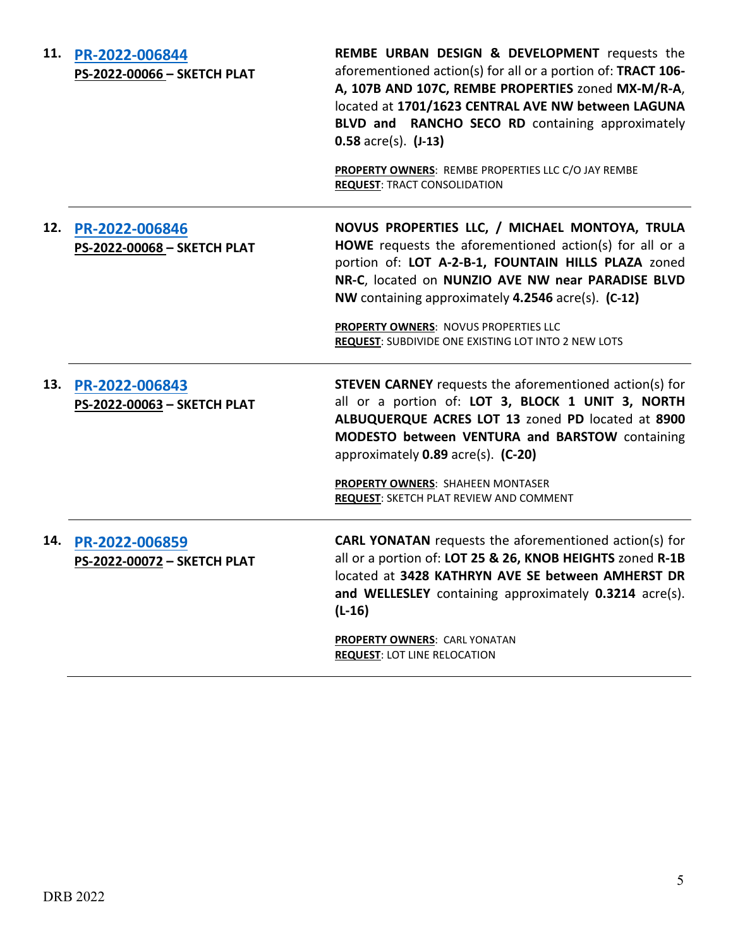| 11. | PR-2022-006844<br>PS-2022-00066 - SKETCH PLAT | <b>REMBE URBAN DESIGN &amp; DEVELOPMENT</b> requests the<br>aforementioned action(s) for all or a portion of: TRACT 106-<br>A, 107B AND 107C, REMBE PROPERTIES zoned MX-M/R-A,<br>located at 1701/1623 CENTRAL AVE NW between LAGUNA<br>BLVD and RANCHO SECO RD containing approximately<br>$0.58$ acre(s). $(J-13)$<br>PROPERTY OWNERS: REMBE PROPERTIES LLC C/O JAY REMBE<br><b>REQUEST: TRACT CONSOLIDATION</b> |
|-----|-----------------------------------------------|--------------------------------------------------------------------------------------------------------------------------------------------------------------------------------------------------------------------------------------------------------------------------------------------------------------------------------------------------------------------------------------------------------------------|
| 12. | PR-2022-006846<br>PS-2022-00068 - SKETCH PLAT | NOVUS PROPERTIES LLC, / MICHAEL MONTOYA, TRULA<br>HOWE requests the aforementioned action(s) for all or a<br>portion of: LOT A-2-B-1, FOUNTAIN HILLS PLAZA zoned<br>NR-C, located on NUNZIO AVE NW near PARADISE BLVD<br>NW containing approximately 4.2546 acre(s). (C-12)<br>PROPERTY OWNERS: NOVUS PROPERTIES LLC<br>REQUEST: SUBDIVIDE ONE EXISTING LOT INTO 2 NEW LOTS                                        |
| 13. | PR-2022-006843<br>PS-2022-00063 - SKETCH PLAT | <b>STEVEN CARNEY</b> requests the aforementioned action(s) for<br>all or a portion of: LOT 3, BLOCK 1 UNIT 3, NORTH<br>ALBUQUERQUE ACRES LOT 13 zoned PD located at 8900<br>MODESTO between VENTURA and BARSTOW containing<br>approximately 0.89 acre(s). (C-20)<br>PROPERTY OWNERS: SHAHEEN MONTASER<br>REQUEST: SKETCH PLAT REVIEW AND COMMENT                                                                   |
| 14. | PR-2022-006859<br>PS-2022-00072 - SKETCH PLAT | <b>CARL YONATAN</b> requests the aforementioned action(s) for<br>all or a portion of: LOT 25 & 26, KNOB HEIGHTS zoned R-1B<br>located at 3428 KATHRYN AVE SE between AMHERST DR<br>and WELLESLEY containing approximately 0.3214 acre(s).<br>$(L-16)$                                                                                                                                                              |
|     |                                               | <b>PROPERTY OWNERS: CARL YONATAN</b><br><b>REQUEST: LOT LINE RELOCATION</b>                                                                                                                                                                                                                                                                                                                                        |